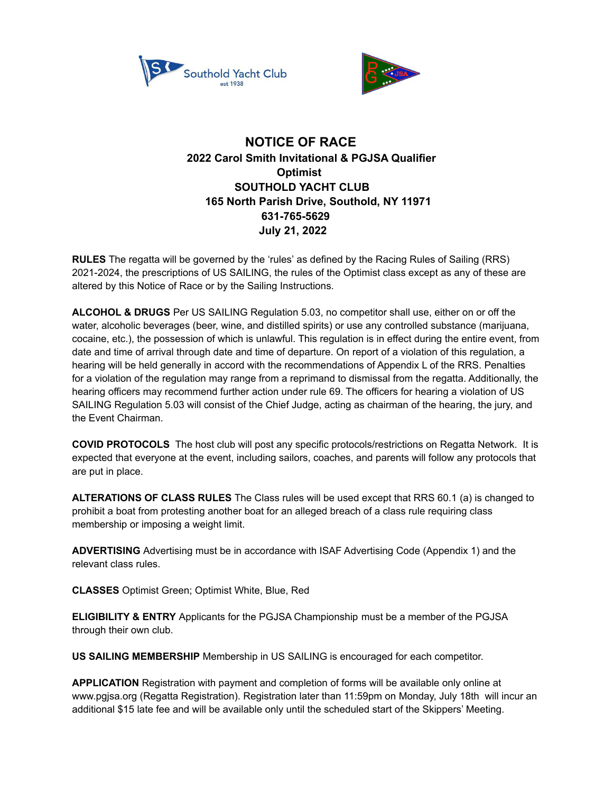



## **NOTICE OF RACE 2022 Carol Smith Invitational & PGJSA Qualifier Optimist SOUTHOLD YACHT CLUB 165 North Parish Drive, Southold, NY 11971 631-765-5629 July 21, 2022**

**RULES** The regatta will be governed by the 'rules' as defined by the Racing Rules of Sailing (RRS) 2021-2024, the prescriptions of US SAILING, the rules of the Optimist class except as any of these are altered by this Notice of Race or by the Sailing Instructions.

**ALCOHOL & DRUGS** Per US SAILING Regulation 5.03, no competitor shall use, either on or off the water, alcoholic beverages (beer, wine, and distilled spirits) or use any controlled substance (marijuana, cocaine, etc.), the possession of which is unlawful. This regulation is in effect during the entire event, from date and time of arrival through date and time of departure. On report of a violation of this regulation, a hearing will be held generally in accord with the recommendations of Appendix L of the RRS. Penalties for a violation of the regulation may range from a reprimand to dismissal from the regatta. Additionally, the hearing officers may recommend further action under rule 69. The officers for hearing a violation of US SAILING Regulation 5.03 will consist of the Chief Judge, acting as chairman of the hearing, the jury, and the Event Chairman.

**COVID PROTOCOLS** The host club will post any specific protocols/restrictions on Regatta Network. It is expected that everyone at the event, including sailors, coaches, and parents will follow any protocols that are put in place.

**ALTERATIONS OF CLASS RULES** The Class rules will be used except that RRS 60.1 (a) is changed to prohibit a boat from protesting another boat for an alleged breach of a class rule requiring class membership or imposing a weight limit.

**ADVERTISING** Advertising must be in accordance with ISAF Advertising Code (Appendix 1) and the relevant class rules.

**CLASSES** Optimist Green; Optimist White, Blue, Red

**ELIGIBILITY & ENTRY** Applicants for the PGJSA Championship must be a member of the PGJSA through their own club.

**US SAILING MEMBERSHIP** Membership in US SAILING is encouraged for each competitor.

**APPLICATION** Registration with payment and completion of forms will be available only online at www.pgjsa.org (Regatta Registration). Registration later than 11:59pm on Monday, July 18th will incur an additional \$15 late fee and will be available only until the scheduled start of the Skippers' Meeting.